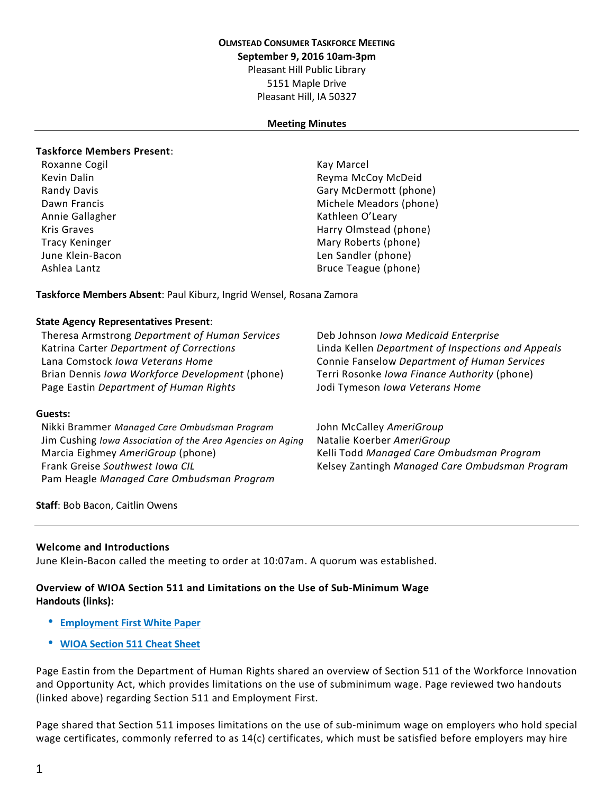#### **OLMSTEAD CONSUMER TASKFORCE MEETING**

**September 9, 2016 10am-3pm**

Pleasant Hill Public Library

5151 Maple Drive Pleasant Hill, IA 50327

#### **Meeting Minutes**

#### **Taskforce Members Present**:

Roxanne Cogil November 2012 12:30 November 2013

Kevin Dalin Reyma McCoy McDeid Randy Davis **Gary McDermott** (phone) Dawn Francis **Michele Meadors (phone)** Michele Meadors (phone) Annie Gallagher Kathleen O'Leary Kris Graves **Harry Olmstead (phone) Harry Olmstead (phone)** Tracy Keninger **Mary Roberts (phone)** Mary Roberts (phone) June Klein-Bacon Len Sandler (phone) Ashlea Lantz **Bruce Teague (phone)** Bruce Teague (phone)

**Taskforce Members Absent**: Paul Kiburz, Ingrid Wensel, Rosana Zamora

#### **State Agency Representatives Present**:

Theresa Armstrong *Department of Human Services* Deb Johnson *Iowa Medicaid Enterprise* Lana Comstock *Iowa Veterans Home* Connie Fanselow *Department of Human Services* Brian Dennis *Iowa Workforce Development* (phone) Terri Rosonke *Iowa Finance Authority* (phone) Page Eastin *Department of Human Rights* Jodi Tymeson *Iowa Veterans Home*

Katrina Carter *Department of Corrections* Linda Kellen *Department of Inspections and Appeals*

### **Guests:**

Nikki Brammer *Managed Care Ombudsman Program* John McCalley *AmeriGroup* Jim Cushing *Iowa Association of the Area Agencies on Aging* Natalie Koerber *AmeriGroup* Marcia Eighmey *AmeriGroup* (phone) Kelli Todd *Managed Care Ombudsman Program* Frank Greise *Southwest Iowa CIL* Kelsey Zantingh *Managed Care Ombudsman Program* Pam Heagle *Managed Care Ombudsman Program*

**Staff**: Bob Bacon, Caitlin Owens

#### **Welcome and Introductions**

June Klein-Bacon called the meeting to order at 10:07am. A quorum was established.

# **Overview of WIOA Section 511 and Limitations on the Use of Sub-Minimum Wage Handouts (links):**

- **[Employment](http://www.olmsteadrealchoicesia.org/wp-content/uploads/2016/09/White-Paper-CAP.pdf) First White Paper**
- **WIOA [Section](http://www.olmsteadrealchoicesia.org/wp-content/uploads/2016/09/511-July-2016.docx) 511 Cheat Sheet**

Page Eastin from the Department of Human Rights shared an overview of Section 511 of the Workforce Innovation and Opportunity Act, which provides limitations on the use of subminimum wage. Page reviewed two handouts (linked above) regarding Section 511 and Employment First.

Page shared that Section 511 imposes limitations on the use of sub-minimum wage on employers who hold special wage certificates, commonly referred to as 14(c) certificates, which must be satisfied before employers may hire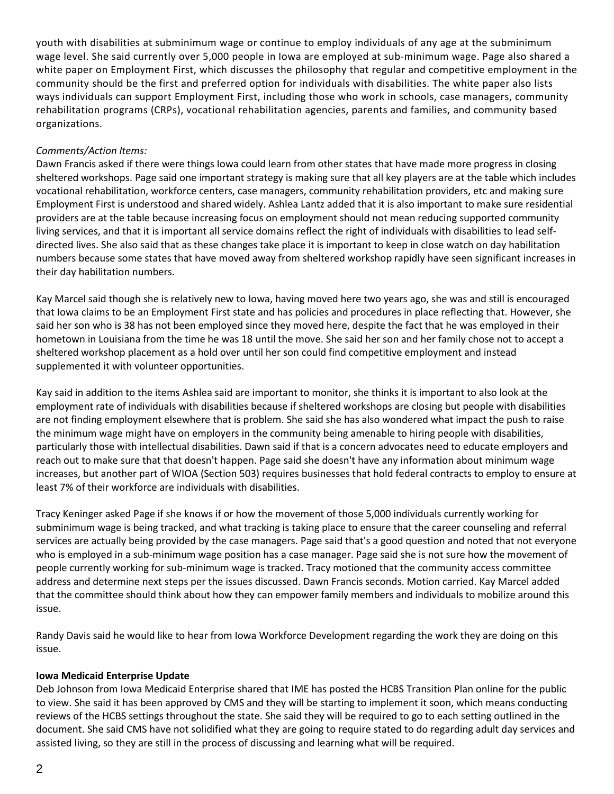youth with disabilities at subminimum wage or continue to employ individuals of any age at the subminimum wage level. She said currently over 5,000 people in Iowa are employed at sub-minimum wage. Page also shared a white paper on Employment First, which discusses the philosophy that regular and competitive employment in the community should be the first and preferred option for individuals with disabilities. The white paper also lists ways individuals can support Employment First, including those who work in schools, case managers, community rehabilitation programs (CRPs), vocational rehabilitation agencies, parents and families, and community based organizations.

# *Comments/Action Items:*

Dawn Francis asked if there were things Iowa could learn from other states that have made more progress in closing sheltered workshops. Page said one important strategy is making sure that all key players are at the table which includes vocational rehabilitation, workforce centers, case managers, community rehabilitation providers, etc and making sure Employment First is understood and shared widely. Ashlea Lantz added that it is also important to make sure residential providers are at the table because increasing focus on employment should not mean reducing supported community living services, and that it is important all service domains reflect the right of individuals with disabilities to lead selfdirected lives. She also said that as these changes take place it is important to keep in close watch on day habilitation numbers because some states that have moved away from sheltered workshop rapidly have seen significant increases in their day habilitation numbers.

Kay Marcel said though she is relatively new to Iowa, having moved here two years ago, she was and still is encouraged that Iowa claims to be an Employment First state and has policies and procedures in place reflecting that. However, she said her son who is 38 has not been employed since they moved here, despite the fact that he was employed in their hometown in Louisiana from the time he was 18 until the move. She said her son and her family chose not to accept a sheltered workshop placement as a hold over until her son could find competitive employment and instead supplemented it with volunteer opportunities.

Kay said in addition to the items Ashlea said are important to monitor, she thinks it is important to also look at the employment rate of individuals with disabilities because if sheltered workshops are closing but people with disabilities are not finding employment elsewhere that is problem. She said she has also wondered what impact the push to raise the minimum wage might have on employers in the community being amenable to hiring people with disabilities, particularly those with intellectual disabilities. Dawn said if that is a concern advocates need to educate employers and reach out to make sure that that doesn't happen. Page said she doesn't have any information about minimum wage increases, but another part of WIOA (Section 503) requires businesses that hold federal contracts to employ to ensure at least 7% of their workforce are individuals with disabilities.

Tracy Keninger asked Page if she knows if or how the movement of those 5,000 individuals currently working for subminimum wage is being tracked, and what tracking is taking place to ensure that the career counseling and referral services are actually being provided by the case managers. Page said that's a good question and noted that not everyone who is employed in a sub-minimum wage position has a case manager. Page said she is not sure how the movement of people currently working for sub-minimum wage is tracked. Tracy motioned that the community access committee address and determine next steps per the issues discussed. Dawn Francis seconds. Motion carried. Kay Marcel added that the committee should think about how they can empower family members and individuals to mobilize around this issue.

Randy Davis said he would like to hear from Iowa Workforce Development regarding the work they are doing on this issue.

# **Iowa Medicaid Enterprise Update**

Deb Johnson from Iowa Medicaid Enterprise shared that IME has posted the HCBS Transition Plan online for the public to view. She said it has been approved by CMS and they will be starting to implement it soon, which means conducting reviews of the HCBS settings throughout the state. She said they will be required to go to each setting outlined in the document. She said CMS have not solidified what they are going to require stated to do regarding adult day services and assisted living, so they are still in the process of discussing and learning what will be required.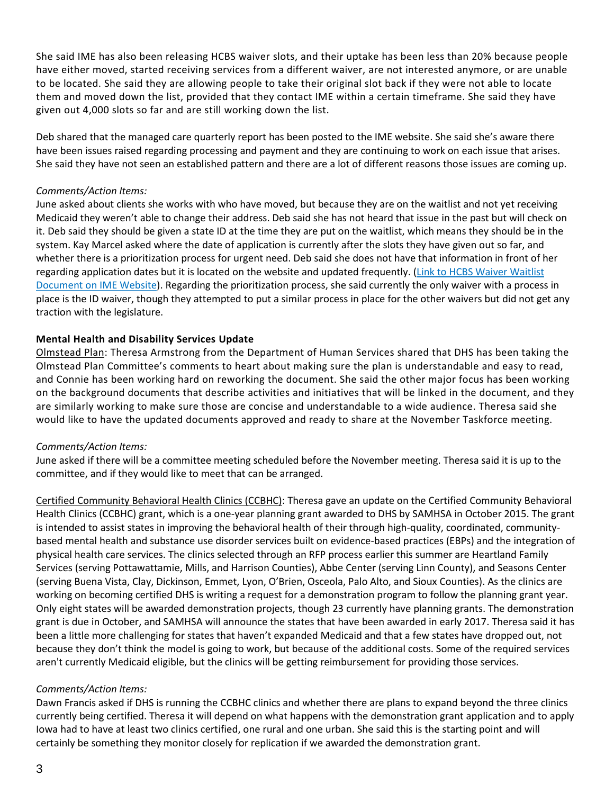She said IME has also been releasing HCBS waiver slots, and their uptake has been less than 20% because people have either moved, started receiving services from a different waiver, are not interested anymore, or are unable to be located. She said they are allowing people to take their original slot back if they were not able to locate them and moved down the list, provided that they contact IME within a certain timeframe. She said they have given out 4,000 slots so far and are still working down the list.

Deb shared that the managed care quarterly report has been posted to the IME website. She said she's aware there have been issues raised regarding processing and payment and they are continuing to work on each issue that arises. She said they have not seen an established pattern and there are a lot of different reasons those issues are coming up.

### *Comments/Action Items:*

June asked about clients she works with who have moved, but because they are on the waitlist and not yet receiving Medicaid they weren't able to change their address. Deb said she has not heard that issue in the past but will check on it. Deb said they should be given a state ID at the time they are put on the waitlist, which means they should be in the system. Kay Marcel asked where the date of application is currently after the slots they have given out so far, and whether there is a prioritization process for urgent need. Deb said she does not have that information in front of her regarding application dates but it is located on the website and updated frequently. (Link to HCBS Waiver [Waitlist](https://dhs.iowa.gov/sites/default/files/Monthly_Slot_and_Wait_list_10.13.16.pdf) [Document](https://dhs.iowa.gov/sites/default/files/Monthly_Slot_and_Wait_list_10.13.16.pdf) on IME Website). Regarding the prioritization process, she said currently the only waiver with a process in place is the ID waiver, though they attempted to put a similar process in place for the other waivers but did not get any traction with the legislature.

# **Mental Health and Disability Services Update**

Olmstead Plan: Theresa Armstrong from the Department of Human Services shared that DHS has been taking the Olmstead Plan Committee's comments to heart about making sure the plan is understandable and easy to read, and Connie has been working hard on reworking the document. She said the other major focus has been working on the background documents that describe activities and initiatives that will be linked in the document, and they are similarly working to make sure those are concise and understandable to a wide audience. Theresa said she would like to have the updated documents approved and ready to share at the November Taskforce meeting.

# *Comments/Action Items:*

June asked if there will be a committee meeting scheduled before the November meeting. Theresa said it is up to the committee, and if they would like to meet that can be arranged.

Certified Community Behavioral Health Clinics (CCBHC): Theresa gave an update on the Certified Community Behavioral Health Clinics (CCBHC) grant, which is a one-year planning grant awarded to DHS by SAMHSA in October 2015. The grant is intended to assist states in improving the behavioral health of their through high-quality, coordinated, communitybased mental health and substance use disorder services built on evidence-based practices (EBPs) and the integration of physical health care services. The clinics selected through an RFP process earlier this summer are Heartland Family Services (serving Pottawattamie, Mills, and Harrison Counties), Abbe Center (serving Linn County), and Seasons Center (serving Buena Vista, Clay, Dickinson, Emmet, Lyon, O'Brien, Osceola, Palo Alto, and Sioux Counties). As the clinics are working on becoming certified DHS is writing a request for a demonstration program to follow the planning grant year. Only eight states will be awarded demonstration projects, though 23 currently have planning grants. The demonstration grant is due in October, and SAMHSA will announce the states that have been awarded in early 2017. Theresa said it has been a little more challenging for states that haven't expanded Medicaid and that a few states have dropped out, not because they don't think the model is going to work, but because of the additional costs. Some of the required services aren't currently Medicaid eligible, but the clinics will be getting reimbursement for providing those services.

### *Comments/Action Items:*

Dawn Francis asked if DHS is running the CCBHC clinics and whether there are plans to expand beyond the three clinics currently being certified. Theresa it will depend on what happens with the demonstration grant application and to apply Iowa had to have at least two clinics certified, one rural and one urban. She said this is the starting point and will certainly be something they monitor closely for replication if we awarded the demonstration grant.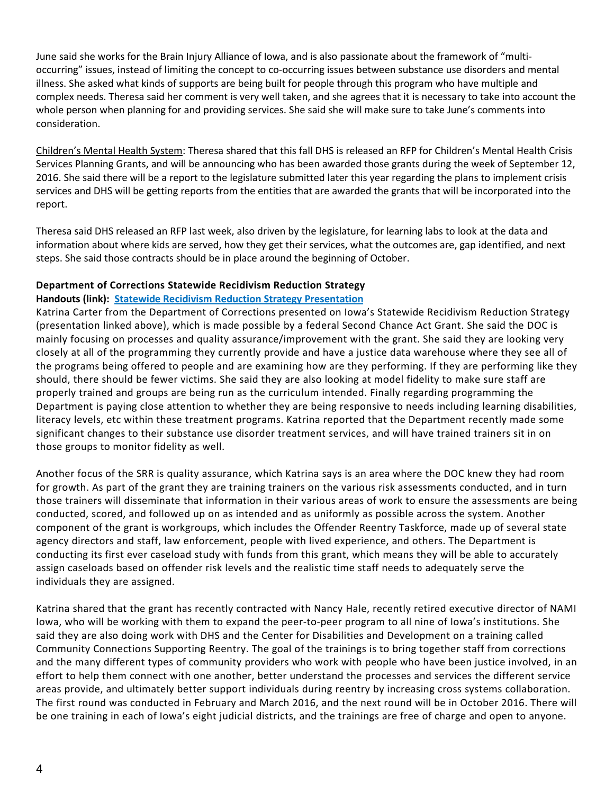June said she works for the Brain Injury Alliance of Iowa, and is also passionate about the framework of "multioccurring" issues, instead of limiting the concept to co-occurring issues between substance use disorders and mental illness. She asked what kinds of supports are being built for people through this program who have multiple and complex needs. Theresa said her comment is very well taken, and she agrees that it is necessary to take into account the whole person when planning for and providing services. She said she will make sure to take June's comments into consideration.

Children's Mental Health System: Theresa shared that this fall DHS is released an RFP for Children's Mental Health Crisis Services Planning Grants, and will be announcing who has been awarded those grants during the week of September 12, 2016. She said there will be a report to the legislature submitted later this year regarding the plans to implement crisis services and DHS will be getting reports from the entities that are awarded the grants that will be incorporated into the report.

Theresa said DHS released an RFP last week, also driven by the legislature, for learning labs to look at the data and information about where kids are served, how they get their services, what the outcomes are, gap identified, and next steps. She said those contracts should be in place around the beginning of October.

### **Department of Corrections Statewide Recidivism Reduction Strategy**

### **Handouts (link): Statewide Recidivism Reduction Strategy [Presentation](http://www.olmsteadrealchoicesia.org/wp-content/uploads/2016/09/SRR-slides.pptx)**

Katrina Carter from the Department of Corrections presented on Iowa's Statewide Recidivism Reduction Strategy (presentation linked above), which is made possible by a federal Second Chance Act Grant. She said the DOC is mainly focusing on processes and quality assurance/improvement with the grant. She said they are looking very closely at all of the programming they currently provide and have a justice data warehouse where they see all of the programs being offered to people and are examining how are they performing. If they are performing like they should, there should be fewer victims. She said they are also looking at model fidelity to make sure staff are properly trained and groups are being run as the curriculum intended. Finally regarding programming the Department is paying close attention to whether they are being responsive to needs including learning disabilities, literacy levels, etc within these treatment programs. Katrina reported that the Department recently made some significant changes to their substance use disorder treatment services, and will have trained trainers sit in on those groups to monitor fidelity as well.

Another focus of the SRR is quality assurance, which Katrina says is an area where the DOC knew they had room for growth. As part of the grant they are training trainers on the various risk assessments conducted, and in turn those trainers will disseminate that information in their various areas of work to ensure the assessments are being conducted, scored, and followed up on as intended and as uniformly as possible across the system. Another component of the grant is workgroups, which includes the Offender Reentry Taskforce, made up of several state agency directors and staff, law enforcement, people with lived experience, and others. The Department is conducting its first ever caseload study with funds from this grant, which means they will be able to accurately assign caseloads based on offender risk levels and the realistic time staff needs to adequately serve the individuals they are assigned.

Katrina shared that the grant has recently contracted with Nancy Hale, recently retired executive director of NAMI Iowa, who will be working with them to expand the peer-to-peer program to all nine of Iowa's institutions. She said they are also doing work with DHS and the Center for Disabilities and Development on a training called Community Connections Supporting Reentry. The goal of the trainings is to bring together staff from corrections and the many different types of community providers who work with people who have been justice involved, in an effort to help them connect with one another, better understand the processes and services the different service areas provide, and ultimately better support individuals during reentry by increasing cross systems collaboration. The first round was conducted in February and March 2016, and the next round will be in October 2016. There will be one training in each of Iowa's eight judicial districts, and the trainings are free of charge and open to anyone.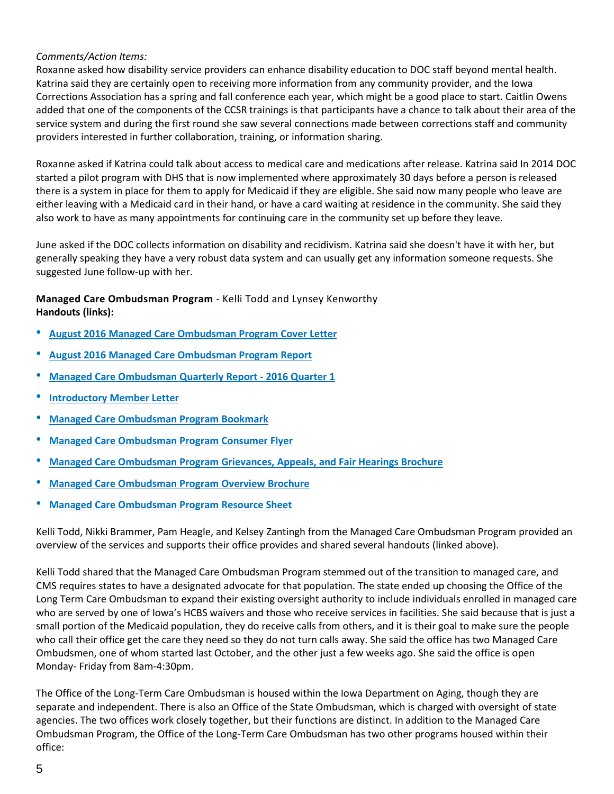# *Comments/Action Items:*

Roxanne asked how disability service providers can enhance disability education to DOC staff beyond mental health. Katrina said they are certainly open to receiving more information from any community provider, and the Iowa Corrections Association has a spring and fall conference each year, which might be a good place to start. Caitlin Owens added that one of the components of the CCSR trainings is that participants have a chance to talk about their area of the service system and during the first round she saw several connections made between corrections staff and community providers interested in further collaboration, training, or information sharing.

Roxanne asked if Katrina could talk about access to medical care and medications after release. Katrina said In 2014 DOC started a pilot program with DHS that is now implemented where approximately 30 days before a person is released there is a system in place for them to apply for Medicaid if they are eligible. She said now many people who leave are either leaving with a Medicaid card in their hand, or have a card waiting at residence in the community. She said they also work to have as many appointments for continuing care in the community set up before they leave.

June asked if the DOC collects information on disability and recidivism. Katrina said she doesn't have it with her, but generally speaking they have a very robust data system and can usually get any information someone requests. She suggested June follow-up with her.

**Managed Care Ombudsman Program** - Kelli Todd and Lynsey Kenworthy **Handouts (links):**

- **August 2016 Managed Care [Ombudsman](http://www.olmsteadrealchoicesia.org/wp-content/uploads/2016/09/2016-August-Managed-Care-Ombudsman-Program-Cover-Letter.pdf) Program Cover Letter**
- **August 2016 Managed Care [Ombudsman](http://www.olmsteadrealchoicesia.org/wp-content/uploads/2016/09/2016-August-Managed-Care-Ombudsman-Program-Report.pdf) Program Report**
- **Managed Care [Ombudsman](http://www.olmsteadrealchoicesia.org/wp-content/uploads/2016/09/2016-Quarter-1-Managed-Care-Ombudsman-Program-Quarterly-Report.pdf) Quarterly Report - 2016 Quarter 1**
- **[Introductory](http://www.olmsteadrealchoicesia.org/wp-content/uploads/2016/09/Introductory-Member-Letter.pdf) Member Letter**
- **Managed Care [Ombudsman](http://www.olmsteadrealchoicesia.org/wp-content/uploads/2016/09/MCOP-Bookmark.pdf) Program Bookmark**
- **Managed Care [Ombudsman](http://www.olmsteadrealchoicesia.org/wp-content/uploads/2016/09/MCOP-Flyer_Consumer.pdf) Program Consumer Flyer**
- **Managed Care [Ombudsman](http://www.olmsteadrealchoicesia.org/wp-content/uploads/2016/09/MCOP-Grievances-Appeals-and-Fair-Hearings-Brochure.pdf) Program Grievances, Appeals, and Fair Hearings Brochure**
- **Managed Care [Ombudsman](http://www.olmsteadrealchoicesia.org/wp-content/uploads/2016/09/MCOP-Overview_Brochure.pdf) Program Overview Brochure**
- **Managed Care [Ombudsman](http://www.olmsteadrealchoicesia.org/wp-content/uploads/2016/09/MCOP_Resource-Sheet.pdf) Program Resource Sheet**

Kelli Todd, Nikki Brammer, Pam Heagle, and Kelsey Zantingh from the Managed Care Ombudsman Program provided an overview of the services and supports their office provides and shared several handouts (linked above).

Kelli Todd shared that the Managed Care Ombudsman Program stemmed out of the transition to managed care, and CMS requires states to have a designated advocate for that population. The state ended up choosing the Office of the Long Term Care Ombudsman to expand their existing oversight authority to include individuals enrolled in managed care who are served by one of Iowa's HCBS waivers and those who receive services in facilities. She said because that is just a small portion of the Medicaid population, they do receive calls from others, and it is their goal to make sure the people who call their office get the care they need so they do not turn calls away. She said the office has two Managed Care Ombudsmen, one of whom started last October, and the other just a few weeks ago. She said the office is open Monday- Friday from 8am-4:30pm.

The Office of the Long-Term Care Ombudsman is housed within the Iowa Department on Aging, though they are separate and independent. There is also an Office of the State Ombudsman, which is charged with oversight of state agencies. The two offices work closely together, but their functions are distinct. In addition to the Managed Care Ombudsman Program, the Office of the Long-Term Care Ombudsman has two other programs housed within their office: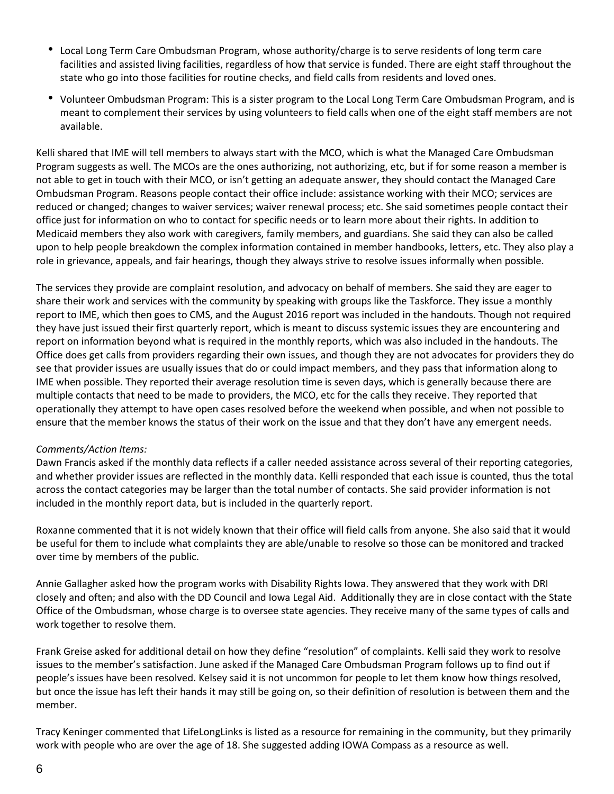- Local Long Term Care Ombudsman Program, whose authority/charge is to serve residents of long term care facilities and assisted living facilities, regardless of how that service is funded. There are eight staff throughout the state who go into those facilities for routine checks, and field calls from residents and loved ones.
- Volunteer Ombudsman Program: This is a sister program to the Local Long Term Care Ombudsman Program, and is meant to complement their services by using volunteers to field calls when one of the eight staff members are not available.

Kelli shared that IME will tell members to always start with the MCO, which is what the Managed Care Ombudsman Program suggests as well. The MCOs are the ones authorizing, not authorizing, etc, but if for some reason a member is not able to get in touch with their MCO, or isn't getting an adequate answer, they should contact the Managed Care Ombudsman Program. Reasons people contact their office include: assistance working with their MCO; services are reduced or changed; changes to waiver services; waiver renewal process; etc. She said sometimes people contact their office just for information on who to contact for specific needs or to learn more about their rights. In addition to Medicaid members they also work with caregivers, family members, and guardians. She said they can also be called upon to help people breakdown the complex information contained in member handbooks, letters, etc. They also play a role in grievance, appeals, and fair hearings, though they always strive to resolve issues informally when possible.

The services they provide are complaint resolution, and advocacy on behalf of members. She said they are eager to share their work and services with the community by speaking with groups like the Taskforce. They issue a monthly report to IME, which then goes to CMS, and the August 2016 report was included in the handouts. Though not required they have just issued their first quarterly report, which is meant to discuss systemic issues they are encountering and report on information beyond what is required in the monthly reports, which was also included in the handouts. The Office does get calls from providers regarding their own issues, and though they are not advocates for providers they do see that provider issues are usually issues that do or could impact members, and they pass that information along to IME when possible. They reported their average resolution time is seven days, which is generally because there are multiple contacts that need to be made to providers, the MCO, etc for the calls they receive. They reported that operationally they attempt to have open cases resolved before the weekend when possible, and when not possible to ensure that the member knows the status of their work on the issue and that they don't have any emergent needs.

### *Comments/Action Items:*

Dawn Francis asked if the monthly data reflects if a caller needed assistance across several of their reporting categories, and whether provider issues are reflected in the monthly data. Kelli responded that each issue is counted, thus the total across the contact categories may be larger than the total number of contacts. She said provider information is not included in the monthly report data, but is included in the quarterly report.

Roxanne commented that it is not widely known that their office will field calls from anyone. She also said that it would be useful for them to include what complaints they are able/unable to resolve so those can be monitored and tracked over time by members of the public.

Annie Gallagher asked how the program works with Disability Rights Iowa. They answered that they work with DRI closely and often; and also with the DD Council and Iowa Legal Aid. Additionally they are in close contact with the State Office of the Ombudsman, whose charge is to oversee state agencies. They receive many of the same types of calls and work together to resolve them.

Frank Greise asked for additional detail on how they define "resolution" of complaints. Kelli said they work to resolve issues to the member's satisfaction. June asked if the Managed Care Ombudsman Program follows up to find out if people's issues have been resolved. Kelsey said it is not uncommon for people to let them know how things resolved, but once the issue has left their hands it may still be going on, so their definition of resolution is between them and the member.

Tracy Keninger commented that LifeLongLinks is listed as a resource for remaining in the community, but they primarily work with people who are over the age of 18. She suggested adding IOWA Compass as a resource as well.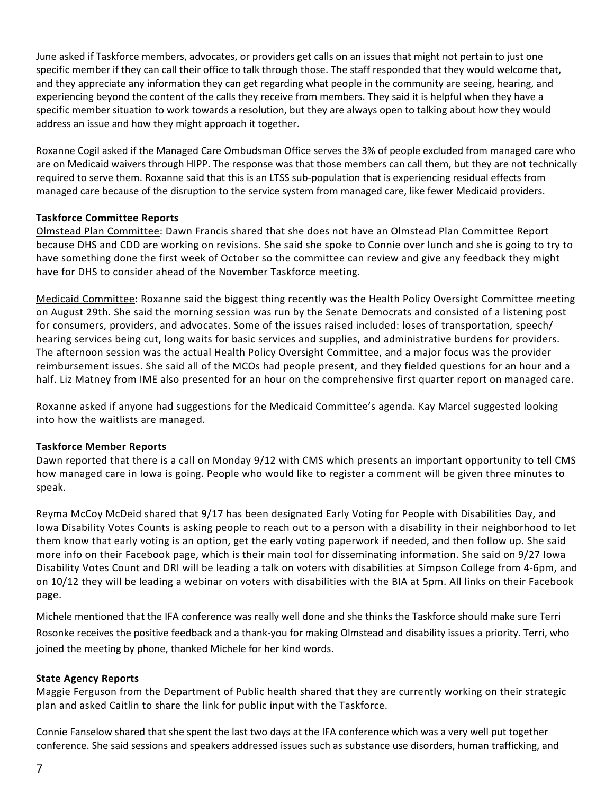June asked if Taskforce members, advocates, or providers get calls on an issues that might not pertain to just one specific member if they can call their office to talk through those. The staff responded that they would welcome that, and they appreciate any information they can get regarding what people in the community are seeing, hearing, and experiencing beyond the content of the calls they receive from members. They said it is helpful when they have a specific member situation to work towards a resolution, but they are always open to talking about how they would address an issue and how they might approach it together.

Roxanne Cogil asked if the Managed Care Ombudsman Office serves the 3% of people excluded from managed care who are on Medicaid waivers through HIPP. The response was that those members can call them, but they are not technically required to serve them. Roxanne said that this is an LTSS sub-population that is experiencing residual effects from managed care because of the disruption to the service system from managed care, like fewer Medicaid providers.

# **Taskforce Committee Reports**

Olmstead Plan Committee: Dawn Francis shared that she does not have an Olmstead Plan Committee Report because DHS and CDD are working on revisions. She said she spoke to Connie over lunch and she is going to try to have something done the first week of October so the committee can review and give any feedback they might have for DHS to consider ahead of the November Taskforce meeting.

Medicaid Committee: Roxanne said the biggest thing recently was the Health Policy Oversight Committee meeting on August 29th. She said the morning session was run by the Senate Democrats and consisted of a listening post for consumers, providers, and advocates. Some of the issues raised included: loses of transportation, speech/ hearing services being cut, long waits for basic services and supplies, and administrative burdens for providers. The afternoon session was the actual Health Policy Oversight Committee, and a major focus was the provider reimbursement issues. She said all of the MCOs had people present, and they fielded questions for an hour and a half. Liz Matney from IME also presented for an hour on the comprehensive first quarter report on managed care.

Roxanne asked if anyone had suggestions for the Medicaid Committee's agenda. Kay Marcel suggested looking into how the waitlists are managed.

### **Taskforce Member Reports**

Dawn reported that there is a call on Monday 9/12 with CMS which presents an important opportunity to tell CMS how managed care in Iowa is going. People who would like to register a comment will be given three minutes to speak.

Reyma McCoy McDeid shared that 9/17 has been designated Early Voting for People with Disabilities Day, and Iowa Disability Votes Counts is asking people to reach out to a person with a disability in their neighborhood to let them know that early voting is an option, get the early voting paperwork if needed, and then follow up. She said more info on their Facebook page, which is their main tool for disseminating information. She said on 9/27 Iowa Disability Votes Count and DRI will be leading a talk on voters with disabilities at Simpson College from 4-6pm, and on 10/12 they will be leading a webinar on voters with disabilities with the BIA at 5pm. All links on their Facebook page.

Michele mentioned that the IFA conference was really well done and she thinks the Taskforce should make sure Terri Rosonke receives the positive feedback and a thank-you for making Olmstead and disability issues a priority. Terri, who joined the meeting by phone, thanked Michele for her kind words.

### **State Agency Reports**

Maggie Ferguson from the Department of Public health shared that they are currently working on their strategic plan and asked Caitlin to share the link for public input with the Taskforce.

Connie Fanselow shared that she spent the last two days at the IFA conference which was a very well put together conference. She said sessions and speakers addressed issues such as substance use disorders, human trafficking, and